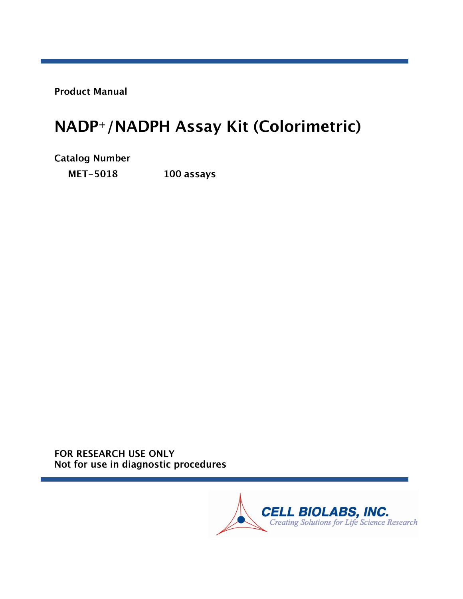**Product Manual** 

# NADP+/NADPH Assay Kit (Colorimetric)

**Catalog Number MET-5018** 100 assays

FOR RESEARCH USE ONLY Not for use in diagnostic procedures

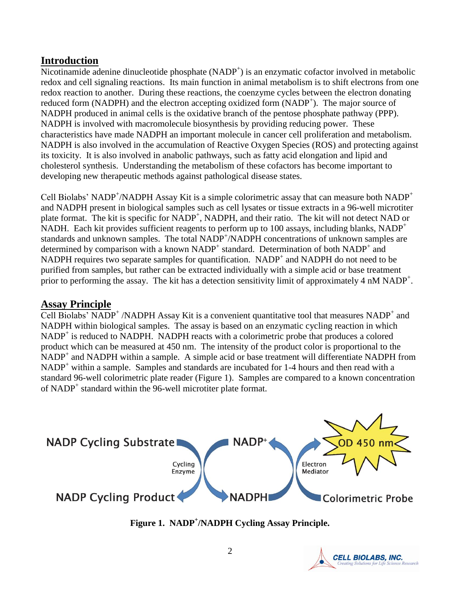# **Introduction**

Nicotinamide adenine dinucleotide phosphate (NADP<sup>+</sup>) is an enzymatic cofactor involved in metabolic redox and cell signaling reactions. Its main function in animal metabolism is to shift electrons from one redox reaction to another. During these reactions, the coenzyme cycles between the electron donating reduced form (NADPH) and the electron accepting oxidized form (NADP<sup>+</sup>). The major source of NADPH produced in animal cells is the oxidative branch of the pentose phosphate pathway (PPP). NADPH is involved with macromolecule biosynthesis by providing reducing power. These characteristics have made NADPH an important molecule in cancer cell proliferation and metabolism. NADPH is also involved in the accumulation of Reactive Oxygen Species (ROS) and protecting against its toxicity. It is also involved in anabolic pathways, such as fatty acid elongation and lipid and cholesterol synthesis. Understanding the metabolism of these cofactors has become important to developing new therapeutic methods against pathological disease states.

Cell Biolabs' NADP<sup>+</sup>/NADPH Assay Kit is a simple colorimetric assay that can measure both NADP<sup>+</sup> and NADPH present in biological samples such as cell lysates or tissue extracts in a 96-well microtiter plate format. The kit is specific for NADP<sup>+</sup>, NADPH, and their ratio. The kit will not detect NAD or NADH. Each kit provides sufficient reagents to perform up to 100 assays, including blanks, NADP<sup>+</sup> standards and unknown samples. The total NADP<sup>+</sup>/NADPH concentrations of unknown samples are determined by comparison with a known NADP<sup>+</sup> standard. Determination of both NADP<sup>+</sup> and NADPH requires two separate samples for quantification.  $NADP<sup>+</sup>$  and NADPH do not need to be purified from samples, but rather can be extracted individually with a simple acid or base treatment prior to performing the assay. The kit has a detection sensitivity limit of approximately 4 nM NADP<sup>+</sup>.

# **Assay Principle**

Cell Biolabs' NADP<sup>+</sup> /NADPH Assay Kit is a convenient quantitative tool that measures NADP<sup>+</sup> and NADPH within biological samples. The assay is based on an enzymatic cycling reaction in which NADP<sup>+</sup> is reduced to NADPH. NADPH reacts with a colorimetric probe that produces a colored product which can be measured at 450 nm. The intensity of the product color is proportional to the  $NADP<sup>+</sup>$  and NADPH within a sample. A simple acid or base treatment will differentiate NADPH from NADP<sup>+</sup> within a sample. Samples and standards are incubated for 1-4 hours and then read with a standard 96-well colorimetric plate reader (Figure 1). Samples are compared to a known concentration of NADP<sup>+</sup> standard within the 96-well microtiter plate format.



**Figure 1. NADP + /NADPH Cycling Assay Principle.**

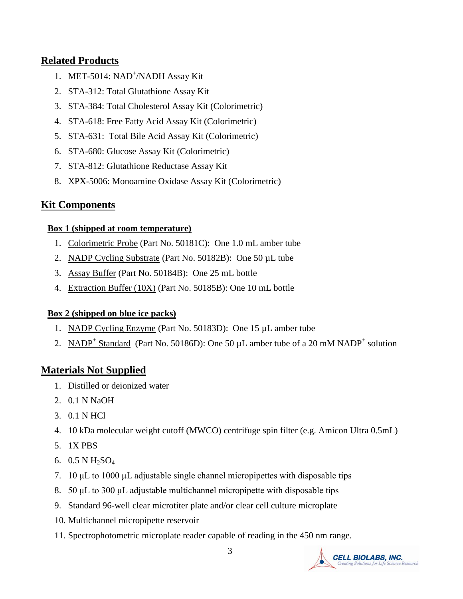# **Related Products**

- 1. MET-5014: NAD<sup>+</sup>/NADH Assay Kit
- 2. STA-312: Total Glutathione Assay Kit
- 3. STA-384: Total Cholesterol Assay Kit (Colorimetric)
- 4. STA-618: Free Fatty Acid Assay Kit (Colorimetric)
- 5. STA-631: Total Bile Acid Assay Kit (Colorimetric)
- 6. STA-680: Glucose Assay Kit (Colorimetric)
- 7. STA-812: Glutathione Reductase Assay Kit
- 8. XPX-5006: Monoamine Oxidase Assay Kit (Colorimetric)

# **Kit Components**

## **Box 1 (shipped at room temperature)**

- 1. Colorimetric Probe (Part No. 50181C): One 1.0 mL amber tube
- 2. NADP Cycling Substrate (Part No. 50182B): One 50 µL tube
- 3. Assay Buffer (Part No. 50184B): One 25 mL bottle
- 4. Extraction Buffer (10X) (Part No. 50185B): One 10 mL bottle

# **Box 2 (shipped on blue ice packs)**

- 1. NADP Cycling Enzyme (Part No. 50183D): One 15 µL amber tube
- 2. NADP<sup>+</sup> Standard (Part No. 50186D): One 50  $\mu$ L amber tube of a 20 mM NADP<sup>+</sup> solution

# **Materials Not Supplied**

- 1. Distilled or deionized water
- 2. 0.1 N NaOH
- 3. 0.1 N HCl
- 4. 10 kDa molecular weight cutoff (MWCO) centrifuge spin filter (e.g. Amicon Ultra 0.5mL)
- 5. 1X PBS
- 6.  $0.5 N H_2SO_4$
- 7. 10 μL to 1000 μL adjustable single channel micropipettes with disposable tips
- 8. 50 μL to 300 μL adjustable multichannel micropipette with disposable tips
- 9. Standard 96-well clear microtiter plate and/or clear cell culture microplate
- 10. Multichannel micropipette reservoir
- 11. Spectrophotometric microplate reader capable of reading in the 450 nm range.

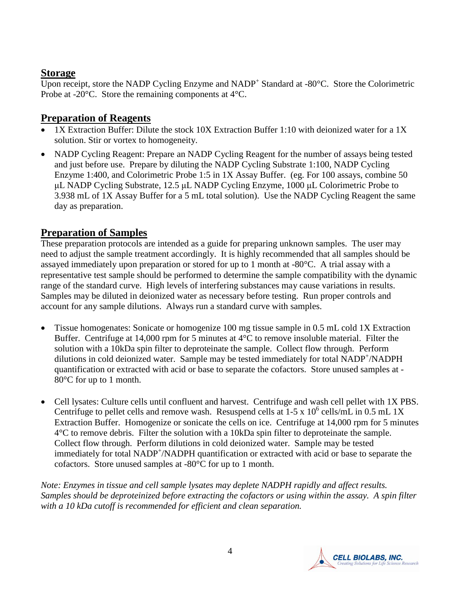## **Storage**

Upon receipt, store the NADP Cycling Enzyme and  $NADP<sup>+</sup>$  Standard at -80 $°C$ . Store the Colorimetric Probe at -20°C. Store the remaining components at 4°C.

# **Preparation of Reagents**

- 1X Extraction Buffer: Dilute the stock 10X Extraction Buffer 1:10 with deionized water for a 1X solution. Stir or vortex to homogeneity.
- NADP Cycling Reagent: Prepare an NADP Cycling Reagent for the number of assays being tested and just before use. Prepare by diluting the NADP Cycling Substrate 1:100, NADP Cycling Enzyme 1:400, and Colorimetric Probe 1:5 in 1X Assay Buffer. (eg. For 100 assays, combine 50 μL NADP Cycling Substrate, 12.5 μL NADP Cycling Enzyme, 1000 μL Colorimetric Probe to 3.938 mL of 1X Assay Buffer for a 5 mL total solution). Use the NADP Cycling Reagent the same day as preparation.

# **Preparation of Samples**

These preparation protocols are intended as a guide for preparing unknown samples. The user may need to adjust the sample treatment accordingly. It is highly recommended that all samples should be assayed immediately upon preparation or stored for up to 1 month at -80°C. A trial assay with a representative test sample should be performed to determine the sample compatibility with the dynamic range of the standard curve. High levels of interfering substances may cause variations in results. Samples may be diluted in deionized water as necessary before testing. Run proper controls and account for any sample dilutions. Always run a standard curve with samples.

- Tissue homogenates: Sonicate or homogenize 100 mg tissue sample in 0.5 mL cold 1X Extraction Buffer. Centrifuge at 14,000 rpm for 5 minutes at 4°C to remove insoluble material. Filter the solution with a 10kDa spin filter to deproteinate the sample. Collect flow through. Perform dilutions in cold deionized water. Sample may be tested immediately for total NADP<sup>+</sup>/NADPH quantification or extracted with acid or base to separate the cofactors. Store unused samples at - 80°C for up to 1 month.
- Cell lysates: Culture cells until confluent and harvest. Centrifuge and wash cell pellet with 1X PBS. Centrifuge to pellet cells and remove wash. Resuspend cells at  $1-5 \times 10^6$  cells/mL in 0.5 mL 1X Extraction Buffer. Homogenize or sonicate the cells on ice. Centrifuge at 14,000 rpm for 5 minutes 4°C to remove debris. Filter the solution with a 10kDa spin filter to deproteinate the sample. Collect flow through. Perform dilutions in cold deionized water. Sample may be tested immediately for total NADP<sup>+</sup>/NADPH quantification or extracted with acid or base to separate the cofactors. Store unused samples at -80°C for up to 1 month.

*Note: Enzymes in tissue and cell sample lysates may deplete NADPH rapidly and affect results. Samples should be deproteinized before extracting the cofactors or using within the assay. A spin filter with a 10 kDa cutoff is recommended for efficient and clean separation.* 

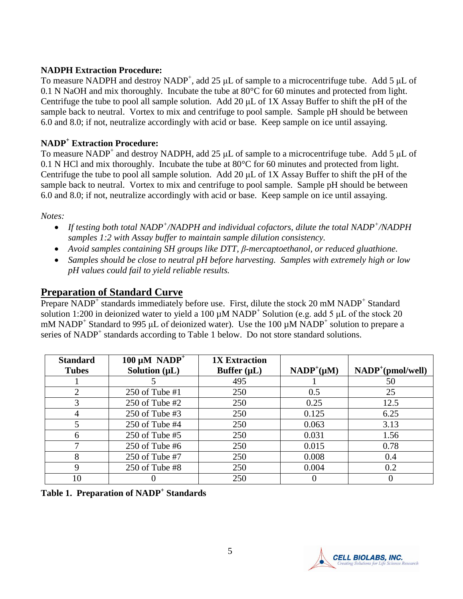#### **NADPH Extraction Procedure:**

To measure NADPH and destroy NADP<sup>+</sup>, add 25  $\mu$ L of sample to a microcentrifuge tube. Add 5  $\mu$ L of 0.1 N NaOH and mix thoroughly. Incubate the tube at 80°C for 60 minutes and protected from light. Centrifuge the tube to pool all sample solution. Add 20 μL of 1X Assay Buffer to shift the pH of the sample back to neutral. Vortex to mix and centrifuge to pool sample. Sample pH should be between 6.0 and 8.0; if not, neutralize accordingly with acid or base. Keep sample on ice until assaying.

#### **NADP<sup>+</sup> Extraction Procedure:**

To measure NADP<sup>+</sup> and destroy NADPH, add 25  $\mu$ L of sample to a microcentrifuge tube. Add 5  $\mu$ L of 0.1 N HCl and mix thoroughly. Incubate the tube at 80°C for 60 minutes and protected from light. Centrifuge the tube to pool all sample solution. Add 20 μL of 1X Assay Buffer to shift the pH of the sample back to neutral. Vortex to mix and centrifuge to pool sample. Sample pH should be between 6.0 and 8.0; if not, neutralize accordingly with acid or base. Keep sample on ice until assaying.

*Notes:* 

- *If testing both total NADP<sup>+</sup> /NADPH and individual cofactors, dilute the total NADP<sup>+</sup> /NADPH samples 1:2 with Assay buffer to maintain sample dilution consistency.*
- *Avoid samples containing SH groups like DTT, β-mercaptoethanol, or reduced gluathione.*
- *Samples should be close to neutral pH before harvesting. Samples with extremely high or low pH values could fail to yield reliable results.*

# **Preparation of Standard Curve**

Prepare NADP<sup>+</sup> standards immediately before use. First, dilute the stock 20 mM NADP<sup>+</sup> Standard solution 1:200 in deionized water to yield a 100  $\mu$ M NADP<sup>+</sup> Solution (e.g. add 5  $\mu$ L of the stock 20 mM NADP<sup>+</sup> Standard to 995 µL of deionized water). Use the 100 µM NADP<sup>+</sup> solution to prepare a series of NADP<sup>+</sup> standards according to Table 1 below. Do not store standard solutions.

| <b>Standard</b><br><b>Tubes</b> | 100 $\mu$ M NADP <sup>+</sup><br>Solution $(\mu L)$ | <b>1X Extraction</b><br>Buffer $(\mu L)$ | $NADP^+(\mu M)$ | $NADP^{+}(pmol/well)$ |
|---------------------------------|-----------------------------------------------------|------------------------------------------|-----------------|-----------------------|
|                                 |                                                     | 495                                      |                 | 50                    |
| $\overline{2}$                  | $250$ of Tube #1                                    | 250                                      | 0.5             | 25                    |
| 3                               | $250$ of Tube #2                                    | 250                                      | 0.25            | 12.5                  |
| 4                               | 250 of Tube $#3$                                    | 250                                      | 0.125           | 6.25                  |
| 5                               | 250 of Tube $#4$                                    | 250                                      | 0.063           | 3.13                  |
| 6                               | $250$ of Tube #5                                    | 250                                      | 0.031           | 1.56                  |
| ⇁                               | $250$ of Tube #6                                    | 250                                      | 0.015           | 0.78                  |
| 8                               | 250 of Tube #7                                      | 250                                      | 0.008           | 0.4                   |
| 9                               | $250$ of Tube #8                                    | 250                                      | 0.004           | 0.2                   |
| 10                              |                                                     | 250                                      |                 |                       |

**Table 1. Preparation of NADP<sup>+</sup> Standards**

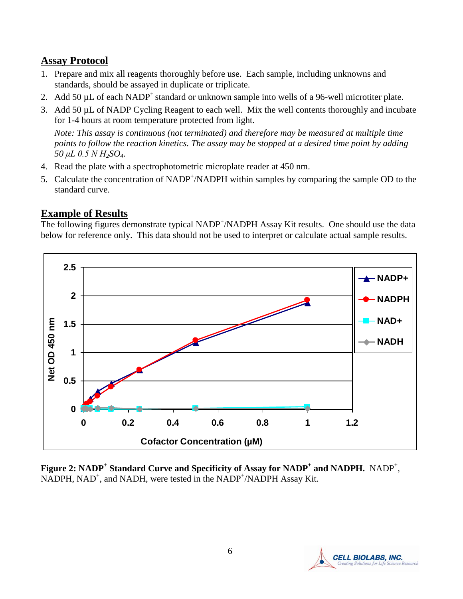# **Assay Protocol**

- 1. Prepare and mix all reagents thoroughly before use. Each sample, including unknowns and standards, should be assayed in duplicate or triplicate.
- 2. Add 50  $\mu$ L of each NADP<sup>+</sup> standard or unknown sample into wells of a 96-well microtiter plate.
- 3. Add 50 µL of NADP Cycling Reagent to each well. Mix the well contents thoroughly and incubate for 1-4 hours at room temperature protected from light.

*Note: This assay is continuous (not terminated) and therefore may be measured at multiple time points to follow the reaction kinetics. The assay may be stopped at a desired time point by adding 50 μL 0.5 N H2SO4*.

- 4. Read the plate with a spectrophotometric microplate reader at 450 nm.
- 5. Calculate the concentration of NADP<sup>+</sup>/NADPH within samples by comparing the sample OD to the standard curve.

# **Example of Results**

The following figures demonstrate typical NADP<sup>+</sup>/NADPH Assay Kit results. One should use the data below for reference only. This data should not be used to interpret or calculate actual sample results.



**Figure 2: NADP<sup>+</sup> Standard Curve and Specificity of Assay for NADP<sup>+</sup> and NADPH.** NADP<sup>+</sup> ,  $NADPH$ ,  $NAD^+$ , and  $NADH$ , were tested in the  $NADP^+/NADPH$  Assay Kit.

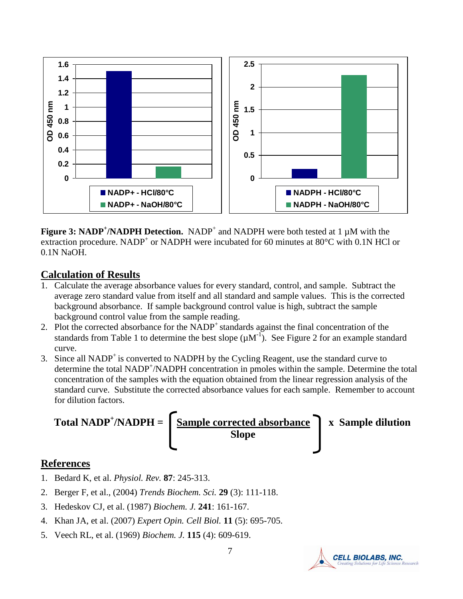

Figure 3: NADP<sup>+</sup>/NADPH Detection. NADP<sup>+</sup> and NADPH were both tested at 1  $\mu$ M with the extraction procedure. NADP<sup>+</sup> or NADPH were incubated for 60 minutes at 80°C with 0.1N HCl or 0.1N NaOH.

## **Calculation of Results**

- 1. Calculate the average absorbance values for every standard, control, and sample. Subtract the average zero standard value from itself and all standard and sample values. This is the corrected background absorbance. If sample background control value is high, subtract the sample background control value from the sample reading.
- 2. Plot the corrected absorbance for the NADP<sup>+</sup> standards against the final concentration of the standards from Table 1 to determine the best slope  $(\mu M^{-1})$ . See Figure 2 for an example standard curve.
- 3. Since all  $NADP<sup>+</sup>$  is converted to  $NADPH$  by the Cycling Reagent, use the standard curve to determine the total NADP<sup>+</sup>/NADPH concentration in pmoles within the sample. Determine the total concentration of the samples with the equation obtained from the linear regression analysis of the standard curve. Substitute the corrected absorbance values for each sample. Remember to account for dilution factors.



## **References**

- 1. Bedard K, et al. *Physiol. Rev.* **87**: 245-313.
- 2. Berger F, et al., (2004) *Trends Biochem. Sci.* **29** (3): 111-118.
- 3. Hedeskov CJ, et al. (1987) *Biochem. J.* **241**: 161-167.
- 4. Khan JA, et al. (2007) *Expert Opin. Cell Biol.* **11** (5): 695-705.
- 5. Veech RL, et al. (1969) *Biochem. J.* **115** (4): 609-619.